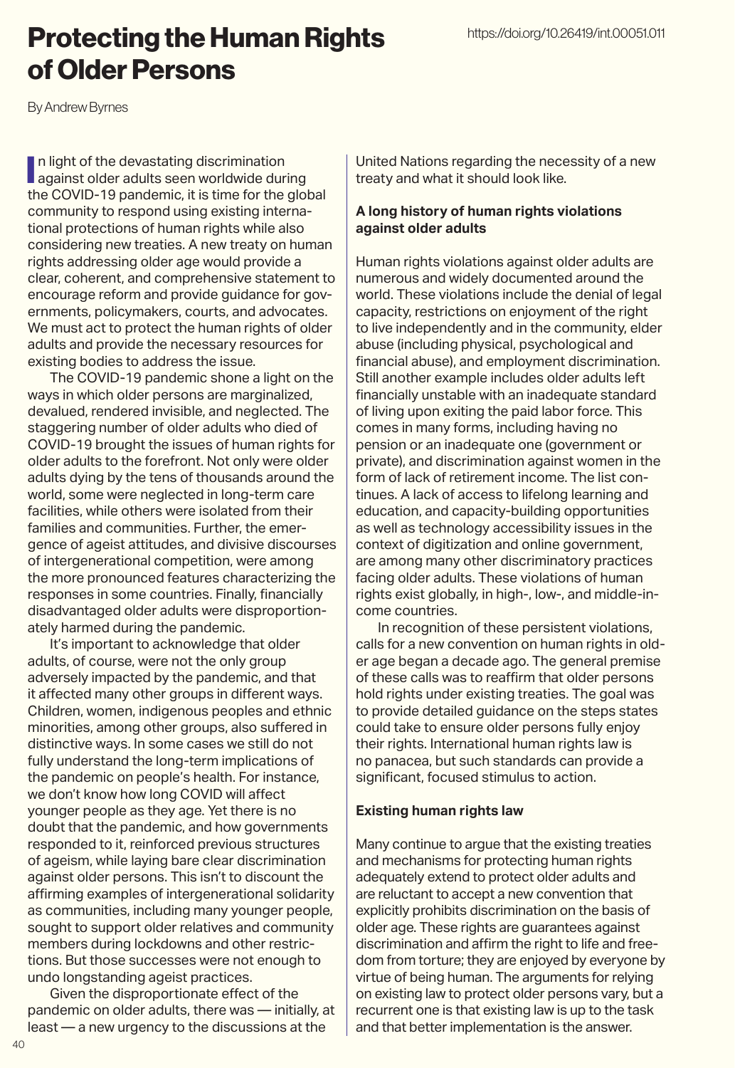## Protecting the Human Rights of Older Persons

By Andrew Byrnes

In light of the devastating discrimination<br>against older adults seen worldwide during n light of the devastating discrimination the COVID-19 pandemic, it is time for the global community to respond using existing international protections of human rights while also considering new treaties. A new treaty on human rights addressing older age would provide a clear, coherent, and comprehensive statement to encourage reform and provide guidance for governments, policymakers, courts, and advocates. We must act to protect the human rights of older adults and provide the necessary resources for existing bodies to address the issue.

The COVID-19 pandemic shone a light on the ways in which older persons are marginalized, devalued, rendered invisible, and neglected. The staggering number of older adults who died of COVID-19 brought the issues of human rights for older adults to the forefront. Not only were older adults dying by the tens of thousands around the world, some were neglected in long-term care facilities, while others were isolated from their families and communities. Further, the emergence of ageist attitudes, and divisive discourses of intergenerational competition, were among the more pronounced features characterizing the responses in some countries. Finally, financially disadvantaged older adults were disproportionately harmed during the pandemic.

It's important to acknowledge that older adults, of course, were not the only group adversely impacted by the pandemic, and that it affected many other groups in different ways. Children, women, indigenous peoples and ethnic minorities, among other groups, also suffered in distinctive ways. In some cases we still do not fully understand the long-term implications of the pandemic on people's health. For instance, we don't know how long COVID will affect younger people as they age. Yet there is no doubt that the pandemic, and how governments responded to it, reinforced previous structures of ageism, while laying bare clear discrimination against older persons. This isn't to discount the affirming examples of intergenerational solidarity as communities, including many younger people, sought to support older relatives and community members during lockdowns and other restrictions. But those successes were not enough to undo longstanding ageist practices.

Given the disproportionate effect of the pandemic on older adults, there was — initially, at least — a new urgency to the discussions at the

United Nations regarding the necessity of a new treaty and what it should look like.

## **A long history of human rights violations against older adults**

Human rights violations against older adults are numerous and widely documented around the world. These violations include the denial of legal capacity, restrictions on enjoyment of the right to live independently and in the community, elder abuse (including physical, psychological and financial abuse), and employment discrimination. Still another example includes older adults left financially unstable with an inadequate standard of living upon exiting the paid labor force. This comes in many forms, including having no pension or an inadequate one (government or private), and discrimination against women in the form of lack of retirement income. The list continues. A lack of access to lifelong learning and education, and capacity-building opportunities as well as technology accessibility issues in the context of digitization and online government, are among many other discriminatory practices facing older adults. These violations of human rights exist globally, in high-, low-, and middle-income countries.

In recognition of these persistent violations, calls for a new convention on human rights in older age began a decade ago. The general premise of these calls was to reaffirm that older persons hold rights under existing treaties. The goal was to provide detailed guidance on the steps states could take to ensure older persons fully enjoy their rights. International human rights law is no panacea, but such standards can provide a significant, focused stimulus to action.

## **Existing human rights law**

Many continue to argue that the existing treaties and mechanisms for protecting human rights adequately extend to protect older adults and are reluctant to accept a new convention that explicitly prohibits discrimination on the basis of older age. These rights are guarantees against discrimination and affirm the right to life and freedom from torture; they are enjoyed by everyone by virtue of being human. The arguments for relying on existing law to protect older persons vary, but a recurrent one is that existing law is up to the task and that better implementation is the answer.